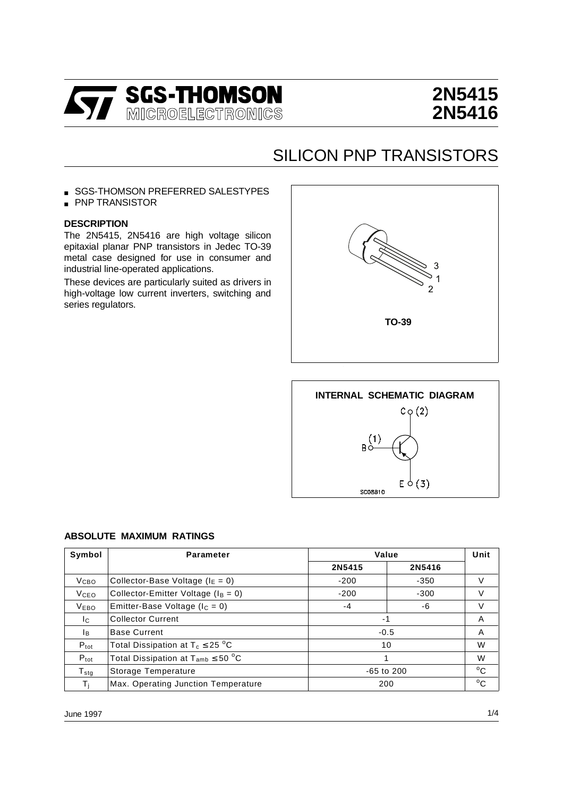

# **2N5415 2N5416**

## SILICON PNP TRANSISTORS

- SGS-THOMSON PREFERRED SALESTYPES
- PNP TRANSISTOR

#### **DESCRIPTION**

The 2N5415, 2N5416 are high voltage silicon epitaxial planar PNP transistors in Jedec TO-39 metal case designed for use in consumer and industrial line-operated applications.

These devices are particularly suited as drivers in high-voltage low current inverters, switching and series regulators.





#### **ABSOLUTE MAXIMUM RATINGS**

| Symbol              | <b>Parameter</b>                          | Value            |        | Unit         |
|---------------------|-------------------------------------------|------------------|--------|--------------|
|                     |                                           | 2N5415           | 2N5416 |              |
| V <sub>CBO</sub>    | Collector-Base Voltage ( $I_E = 0$ )      | $-200$           | $-350$ | V            |
| <b>V</b> ceo        | Collector-Emitter Voltage ( $I_B = 0$ )   | $-200$<br>$-300$ |        | V            |
| <b>VEBO</b>         | Emitter-Base Voltage ( $I_c = 0$ )        | $-4$             | -6     | V            |
| Ic.                 | <b>Collector Current</b>                  | - 1              |        | A            |
| Iв.                 | <b>Base Current</b>                       | $-0.5$           |        | A            |
| $P_{\text{tot}}$    | Total Dissipation at $T_c \leq 25$ °C     | 10               |        | W            |
| $P_{\text{tot}}$    | Total Dissipation at $T_{amb} \leq 50$ °C |                  |        | W            |
| ${\sf T}_{\sf stg}$ | Storage Temperature                       | $-65$ to 200     |        | $^{\circ}$ C |
| Τı                  | Max. Operating Junction Temperature       | 200              |        | $^{\circ}$ C |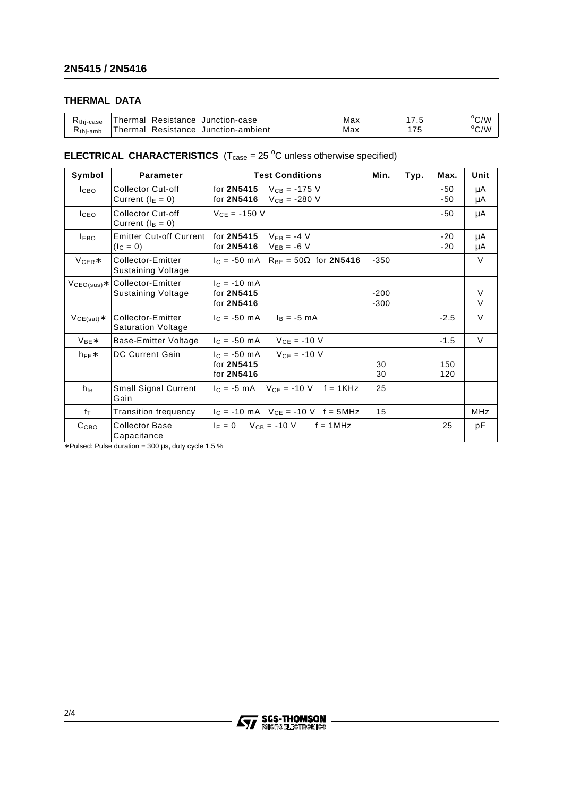## **THERMAL DATA**

| Kthi-case   | Resistance Junction-case<br>⊺hermal | Max | $\cdot$   | $^{\circ}$ $\cap$ $^{\circ}$<br>۷ (ب |
|-------------|-------------------------------------|-----|-----------|--------------------------------------|
| $R$ thi-amb | Thermal Resistance Junction-ambient | Max | $- \cdot$ | °C/W                                 |

### **ELECTRICAL CHARACTERISTICS**  $(T_{\text{case}} = 25 \text{ °C}$  unless otherwise specified)

| Symbol           | <b>Parameter</b>                                  | <b>Test Conditions</b>                                                 | Min.             | Typ. | Max.           | Unit             |
|------------------|---------------------------------------------------|------------------------------------------------------------------------|------------------|------|----------------|------------------|
| <b>І</b> сво     | Collector Cut-off<br>Current $(I_E = 0)$          | for 2N5415<br>$V_{CB} = -175$ V<br>for <b>2N5416</b> $V_{CB} = -280$ V |                  |      | -50<br>-50     | μA<br>μA         |
| <b>ICEO</b>      | Collector Cut-off<br>Current $(I_B = 0)$          | $VCF = -150 V$                                                         |                  |      | -50            | μA               |
| <b>LEBO</b>      | <b>Emitter Cut-off Current</b><br>$I_{\rm C} = 0$ | for <b>2N5415</b> $V_{FB} = -4$ V<br>for $2N5416$ VFB = -6 V           |                  |      | $-20$<br>$-20$ | μA<br>μA         |
| $V_{CER}*$       | Collector-Emitter<br>Sustaining Voltage           | $I_C = -50$ mA R <sub>BE</sub> = 50 $\Omega$ for <b>2N5416</b>         | $-350$           |      |                | $\vee$           |
| $VCEO(sus)*$     | Collector-Emitter<br>Sustaining Voltage           | $c = -10$ mA<br>for 2N5415<br>for 2N5416                               | $-200$<br>$-300$ |      |                | $\vee$<br>$\vee$ |
| $VCE(sat)*$      | Collector-Emitter<br><b>Saturation Voltage</b>    | $c = -50$ mA<br>$I_B = -5$ mA                                          |                  |      | $-2.5$         | $\vee$           |
| $V_{BF}$ *       | Base-Emitter Voltage                              | $V_{CE} = -10 V$<br>$c = -50$ mA                                       |                  |      | $-1.5$         | $\vee$           |
| $h_{FE}$ *       | DC Current Gain                                   | $V_{CE} = -10 V$<br>$c = -50$ mA<br>for 2N5415<br>for 2N5416           | 30<br>30         |      | 150<br>120     |                  |
| $h_{\text{fe}}$  | <b>Small Signal Current</b><br>Gain               | $I_C = -5$ mA $V_{CE} = -10$ V f = 1KHz                                | 25               |      |                |                  |
| $f_{\text{T}}$   | <b>Transition frequency</b>                       | $I_C = -10$ mA $V_{CE} = -10$ V f = 5MHz                               | 15               |      |                | <b>MHz</b>       |
| C <sub>CBO</sub> | <b>Collector Base</b><br>Capacitance              | $F = 0$ $V_{CR} = -10$ V $f = 1$ MHz                                   |                  |      | 25             | рF               |

∗ Pulsed: Pulse duration = 300 µs, duty cycle 1.5 %

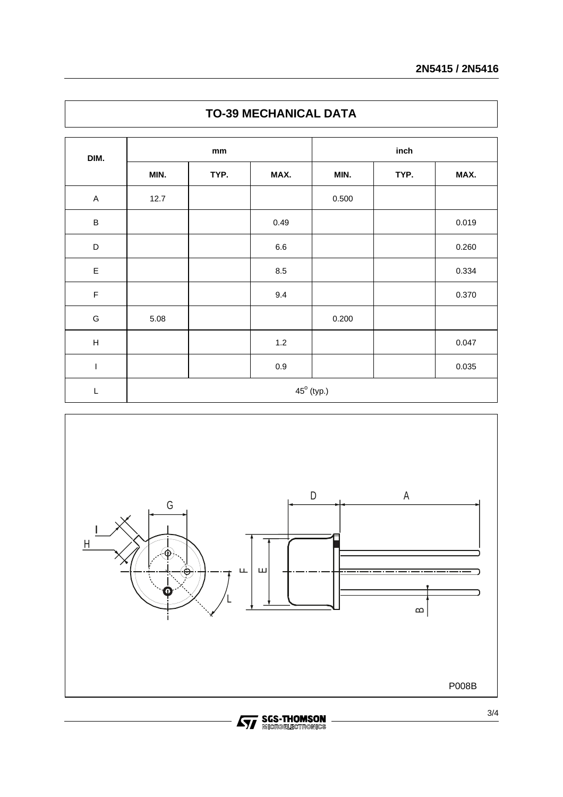| DIM.                      | mm                  |      |         | inch  |      |       |  |
|---------------------------|---------------------|------|---------|-------|------|-------|--|
|                           | MIN.                | TYP. | MAX.    | MIN.  | TYP. | MAX.  |  |
| $\mathsf A$               | 12.7                |      |         | 0.500 |      |       |  |
| $\sf B$                   |                     |      | 0.49    |       |      | 0.019 |  |
| D                         |                     |      | $6.6\,$ |       |      | 0.260 |  |
| $\mathsf E$               |                     |      | 8.5     |       |      | 0.334 |  |
| $\mathsf F$               |                     |      | 9.4     |       |      | 0.370 |  |
| ${\mathsf G}$             | 5.08                |      |         | 0.200 |      |       |  |
| $\boldsymbol{\mathsf{H}}$ |                     |      | $1.2\,$ |       |      | 0.047 |  |
| $\mathsf I$               |                     |      | $0.9\,$ |       |      | 0.035 |  |
| $\mathsf L$               | $45^{\circ}$ (typ.) |      |         |       |      |       |  |





**STAGES-THOMSON**<br>**STAGE REGISTRONICS**